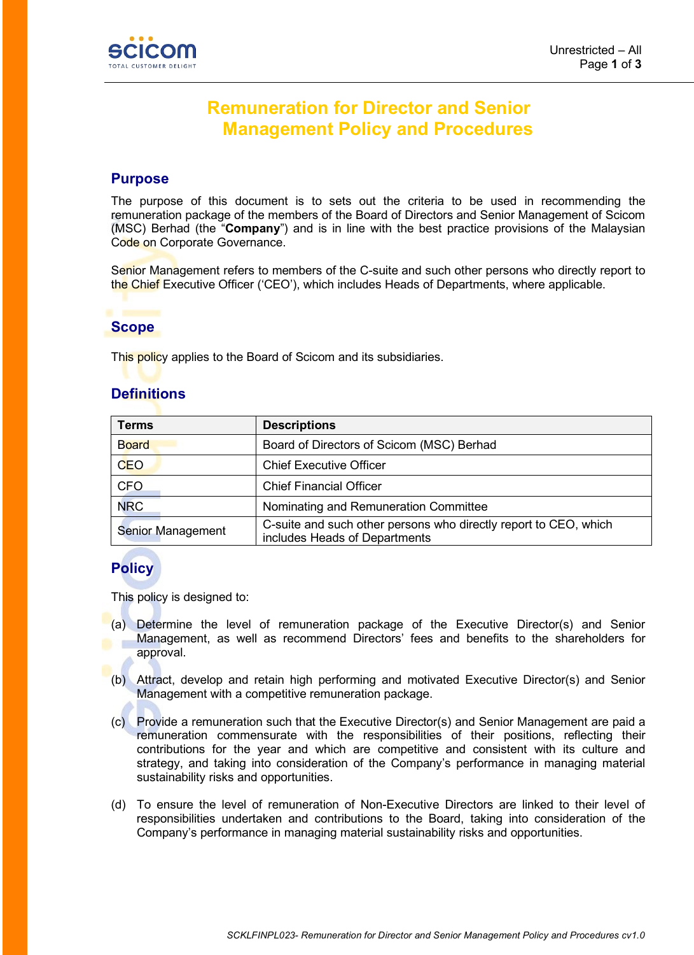

# **Remuneration for Director and Senior Management Policy and Procedures**

### **Purpose**

The purpose of this document is to sets out the criteria to be used in recommending the remuneration package of the members of the Board of Directors and Senior Management of Scicom (MSC) Berhad (the "**Company**") and is in line with the best practice provisions of the Malaysian Code on Corporate Governance.

Senior Management refers to members of the C-suite and such other persons who directly report to the Chief Executive Officer ('CEO'), which includes Heads of Departments, where applicable.

## **Scope**

This policy applies to the Board of Scicom and its subsidiaries.

## **Definitions**

| <b>Terms</b>             | <b>Descriptions</b>                                                                               |
|--------------------------|---------------------------------------------------------------------------------------------------|
| <b>Board</b>             | Board of Directors of Scicom (MSC) Berhad                                                         |
| <b>CEO</b>               | <b>Chief Executive Officer</b>                                                                    |
| <b>CFO</b>               | <b>Chief Financial Officer</b>                                                                    |
| <b>NRC</b>               | Nominating and Remuneration Committee                                                             |
| <b>Senior Management</b> | C-suite and such other persons who directly report to CEO, which<br>includes Heads of Departments |

## **Policy**

This policy is designed to:

- (a) Determine the level of remuneration package of the Executive Director(s) and Senior Management, as well as recommend Directors' fees and benefits to the shareholders for approval.
- (b) Attract, develop and retain high performing and motivated Executive Director(s) and Senior Management with a competitive remuneration package.
- (c) Provide a remuneration such that the Executive Director(s) and Senior Management are paid a remuneration commensurate with the responsibilities of their positions, reflecting their contributions for the year and which are competitive and consistent with its culture and strategy, and taking into consideration of the Company's performance in managing material sustainability risks and opportunities.
- (d) To ensure the level of remuneration of Non-Executive Directors are linked to their level of responsibilities undertaken and contributions to the Board, taking into consideration of the Company's performance in managing material sustainability risks and opportunities.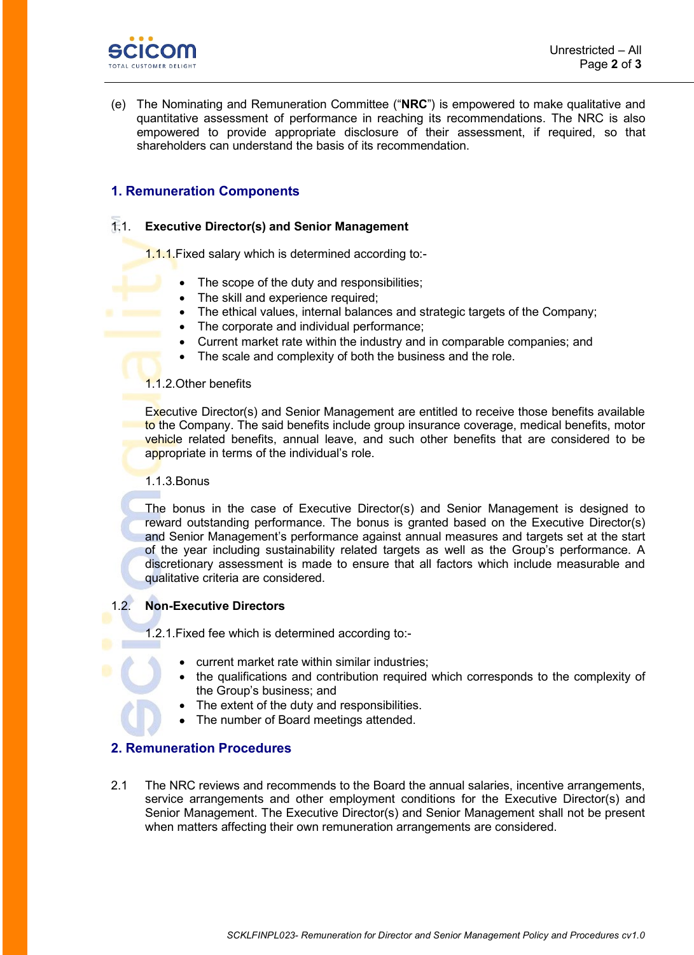

(e) The Nominating and Remuneration Committee ("**NRC**") is empowered to make qualitative and quantitative assessment of performance in reaching its recommendations. The NRC is also empowered to provide appropriate disclosure of their assessment, if required, so that shareholders can understand the basis of its recommendation.

### **1. Remuneration Components**

#### 1.1. **Executive Director(s) and Senior Management**

1.1.1.Fixed salary which is determined according to:-

- The scope of the duty and responsibilities;
- The skill and experience required;
- The ethical values, internal balances and strategic targets of the Company;
- The corporate and individual performance;
- Current market rate within the industry and in comparable companies; and
- The scale and complexity of both the business and the role.

#### 1.1.2.Other benefits

Executive Director(s) and Senior Management are entitled to receive those benefits available to the Company. The said benefits include group insurance coverage, medical benefits, motor vehicle related benefits, annual leave, and such other benefits that are considered to be appropriate in terms of the individual's role.

#### 1.1.3.Bonus

The bonus in the case of Executive Director(s) and Senior Management is designed to reward outstanding performance. The bonus is granted based on the Executive Director(s) and Senior Management's performance against annual measures and targets set at the start of the year including sustainability related targets as well as the Group's performance. A discretionary assessment is made to ensure that all factors which include measurable and qualitative criteria are considered.

#### 1.2. **Non-Executive Directors**

1.2.1.Fixed fee which is determined according to:-

- current market rate within similar industries;
- the qualifications and contribution required which corresponds to the complexity of the Group's business; and
- The extent of the duty and responsibilities.
- The number of Board meetings attended.

#### **2. Remuneration Procedures**

2.1 The NRC reviews and recommends to the Board the annual salaries, incentive arrangements, service arrangements and other employment conditions for the Executive Director(s) and Senior Management. The Executive Director(s) and Senior Management shall not be present when matters affecting their own remuneration arrangements are considered.